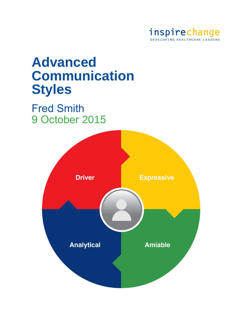

# **Advanced Communication Styles**

# Fred Smith 9 October 2015

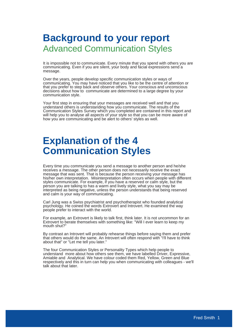## **Background to your report** Advanced Communication Styles

It is impossible not to communicate. Every minute that you spend with others you are communicating. Even if you are silent, your body and facial expressions send a message.

Over the years, people develop specific communication styles or ways of communicating. You may have noticed that you like to be the centre of attention or that you prefer to step back and observe others. Your conscious and unconscious decisions about how to communicate are determined to a large degree by your communication style.

Your first step in ensuring that your messages are received well and that you understand others is understanding how you communicate. The results of the Communication Styles Survey which you completed are contained in this report and will help you to analyse all aspects of your style so that you can be more aware of how you are communicating and be alert to others' styles as well.

# **Explanation of the 4 Communication Styles**

Every time you communicate you send a message to another person and he/she receives a message. The other person does not necessarily receive the exact message that was sent. That is because the person receiving your message has his/her own interpretation. Misinterpretation often occurs when people with different styles communicate. For example, if you have a reserved or calm style, but the person you are talking to has a warm and lively style, what you say may be interpreted as being negative, unless the person understands that being reserved and calm is your way of communicating.

Carl Jung was a Swiss psychiatrist and psychotherapist who founded analytical psychology. He coined the words Extrovert and Introvert. He examined the way people prefer to interact with the world.

For example, an Extrovert is likely to talk first, think later. It is not uncommon for an Extrovert to berate themselves with something like: "Will I ever learn to keep my mouth shut?"

By contrast an Introvert will probably rehearse things before saying them and prefer that others would do the same. An Introvert will often respond with "I'll have to think about that" or "Let me tell you later."

The four Communication Styles or Personality Types which help people to understand more about how others see them, we have labelled Driver, Expressive, Amiable and Analytical. We have colour coded them Red, Yellow, Green and Blue respectively and this in turn can help you when communicating with colleagues - we'll talk about that later.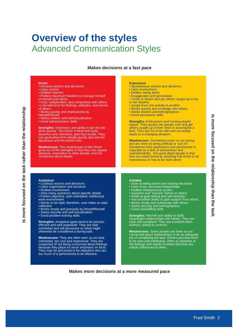## **Overview of the styles** Advanced Communication Styles

#### **Makes decisions at a fast pace**

#### **Driver**

- Decisive actions and decisions
- Likes control • Dislikes inaction
- Prefers maximum freedom to manage himself
- or herself and others
- Cool, independent, and competitive with others • Low tolerance for feelings, attitudes, and advice
- of others
- Works quickly and impressively by
- himself/herself
- Seeks esteem and self-actualisation
- Good administrative Skills

**Strengths:** Directness and ability to get the job done quickly. The Driver is blunt and quite assertive and, therefore, gets fast results. They can generalise from details quickly and see the big picture and the bottom line.

**Weaknesses:** The weaknesses of the Driver grow out of the strengths in that they can appear abrasive, insensitive to other people, and not concerned about details.

#### **Expressive**

- Spontaneous actions and decisions • Likes involvement
- Dislikes being alone
- Exaggerates and generalises
- Tends to dream and get others caught up in his or her dreams
- Jumps from one activity to another
- Works quickly and excitingly with others
- Seeks esteem and belongingness
- Good persuasive skills
- **Strengths:** Enthusiasm and exciting playful nature. They quickly win people over and get others caught up in their drive to accomplish a task. They are fun to be with and can adapt easily to a changing situation.

**Weaknesses:** Sometimes come on too strong and are seen as being artificial or "put on". Sometimes their playfulness and spontaneity is regarded as a lack of seriousness and unpredictability. Not good detail people in that they are easily bored by anything that tends to be monotonous or has to be done alone.

#### **Analytical**

- Cautious actions and decisions
- Likes organisation and structure
- Dislikes involvement
- Asks many questions about specific details
- Prefers objective, task-orientated, intellectual work environment
- Wants to be right, therefore, over-relies on data
- collection
- Works slowly and precisely by himself/herself
- Seeks security and self-actualisation
- Good problem-solving skills

**Strengths:** Analytical types tend to be precise. efficient and well organised. They are task orientated and will persevere on what might otherwise be considered a boring task.

**Weaknesses:** They are often seen as too task orientated, too cool and impersonal. They are suspected of not being concerned about feelings because they place so much emphasis on facts. They may be perceived to be nitpickers who are too much of a perfectionist to be effective.

#### **Amiable**

- Slow at taking action and making decisions
- Likes close, personal relationships
- Dislikes interpersonal conflict
- Supports and "actively" listens to others
- Weak at goal setting and self-direction
- Has excellent ability to gain support from others
- Works slowly and cohesively with others
- Seeks security and belongingness
- Good counselling skills

**Strengths:** Warmth and ability to build meaningful relationships with others. They are loyal and compliant. They are excellent team workers, willing to conform.

**Weaknesses:** Some people see them as too concerned about relationships to do an adequate job of completing the task. Drivers perceive them to be slow and ineffective. Often so sensitive to the feelings and needs of others that they are unduly influenced by them.

**Makes more decisions at a more measured pace**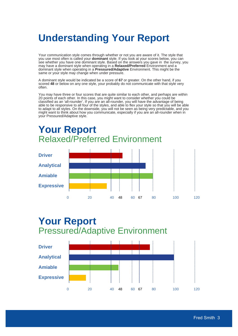# **Understanding Your Report**

Your communication style comes through whether or not you are aware of it. The style that you use most often is called your **dominant** style. If you look at your scores below, you can see whether you have one dominant style. Based on the answers you gave in the survey, you may have a dominant style when operating in a **Relaxed/Preferred** Environment and a dominant style when operating in a **Pressured/Adaptive** Environment. This might be the same or your style may change when under pressure.

A dominant style would be indicated be a score of **67** or greater. On the other hand, if you scored **48** or below on any one style, your probably do not communicate with that style very often.

You may have three or four scores that are quite similar to each other, and perhaps are within 20 points of each other. In this case, you might want to consider whether you could be classified as an 'all-rounder'. If you are an all-rounder, you will have the advantage of being able to be responsive to all four of the styles, and able to flex your style so that you will be able to adapt to all styles. On the downside, you will not be seen as being very predictable, and you might want to think about how you communicate, especially if you are an all-rounder when in your Pressured/Adaptive style.

# **Your Report** Relaxed/Preferred Environment



## **Your Report** Pressured/Adaptive Environment

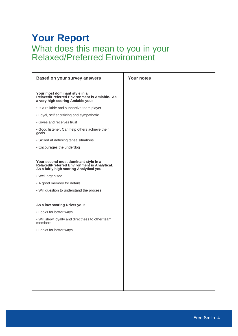## **Your Report** What does this mean to you in your Relaxed/Preferred Environment

| <b>Based on your survey answers</b>                                                                                              | <b>Your notes</b> |
|----------------------------------------------------------------------------------------------------------------------------------|-------------------|
| Your most dominant style in a<br>Relaxed/Preferred Environment is Amiable. As<br>a very high scoring Amiable you:                |                   |
| • Is a reliable and supportive team player                                                                                       |                   |
| • Loyal, self sacrificing and sympathetic                                                                                        |                   |
| • Gives and receives trust                                                                                                       |                   |
| . Good listener. Can help others achieve their<br>goals                                                                          |                   |
| • Skilled at defusing tense situations                                                                                           |                   |
| • Encourages the underdog                                                                                                        |                   |
|                                                                                                                                  |                   |
| Your second most dominant style in a<br>Relaxed/Preferred Environment is Analytical.<br>As a fairly high scoring Analytical you: |                   |
| · Well organised                                                                                                                 |                   |
| • A good memory for details                                                                                                      |                   |
| . Will question to understand the process                                                                                        |                   |
|                                                                                                                                  |                   |
| As a low scoring Driver you:                                                                                                     |                   |
| • Looks for better ways                                                                                                          |                   |
| . Will show loyalty and directness to other team<br>members                                                                      |                   |
| • Looks for better ways                                                                                                          |                   |
|                                                                                                                                  |                   |
|                                                                                                                                  |                   |
|                                                                                                                                  |                   |
|                                                                                                                                  |                   |
|                                                                                                                                  |                   |
|                                                                                                                                  |                   |
|                                                                                                                                  |                   |
|                                                                                                                                  |                   |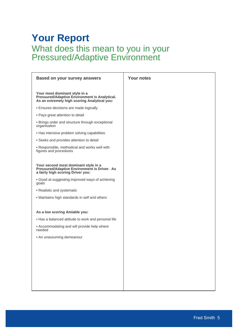## **Your Report** What does this mean to you in your Pressured/Adaptive Environment

| <b>Based on your survey answers</b>                                                                                            | <b>Your notes</b> |
|--------------------------------------------------------------------------------------------------------------------------------|-------------------|
| Your most dominant style in a<br>Pressured/Adaptive Environment is Analytical.<br>As an extremely high scoring Analytical you: |                   |
| • Ensures decisions are made logically                                                                                         |                   |
| • Pays great attention to detail                                                                                               |                   |
| • Brings order and structure through exceptional<br>organisation                                                               |                   |
| • Has intensive problem solving capabilities                                                                                   |                   |
| • Seeks and provides attention to detail                                                                                       |                   |
| • Responsible, methodical and works well with<br>figures and procedures                                                        |                   |
| Your second most dominant style in a<br>Pressured/Adaptive Environment is Driver. As<br>a fairly high scoring Driver you:      |                   |
| . Good at suggesting improved ways of achieving<br>goals                                                                       |                   |
| • Realistic and systematic                                                                                                     |                   |
| • Maintains high standards in self and others                                                                                  |                   |
| As a low scoring Amiable you:                                                                                                  |                   |
| . Has a balanced attitude to work and personal life                                                                            |                   |
| • Accommodating and will provide help where<br>needed                                                                          |                   |
| • An unassuming demeanour                                                                                                      |                   |
|                                                                                                                                |                   |
|                                                                                                                                |                   |
|                                                                                                                                |                   |
|                                                                                                                                |                   |
|                                                                                                                                |                   |
|                                                                                                                                |                   |
|                                                                                                                                |                   |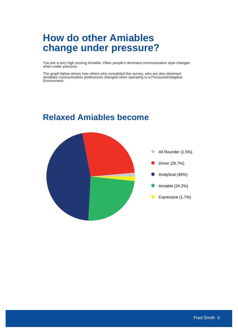# **How do other Amiables change under pressure?**

You are a very high scoring Amiable. Often people's dominant communication style changes when under pressure.

The graph below shows how others who completed this survey, who are also dominant Amiables communication preferences changed when operating in a Pressured/Adaptive Environment.



## **Relaxed Amiables become**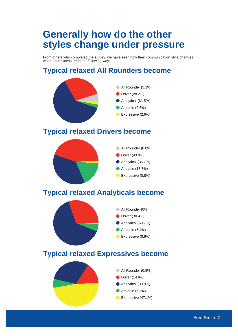# **Generally how do the other styles change under pressure**

From others who completed the survey, we have seen how their communication style changes when under pressure in the following way:

## **Typical relaxed All Rounders become**

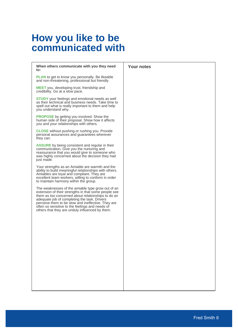# **How you like to be communicated with**

| When others communicate with you they need<br>to:                                                                                                                                                                                                                                                                                                                           | <b>Your notes</b> |
|-----------------------------------------------------------------------------------------------------------------------------------------------------------------------------------------------------------------------------------------------------------------------------------------------------------------------------------------------------------------------------|-------------------|
| <b>PLAN</b> to get to know you personally. Be likeable<br>and non-threatening, professional but friendly.                                                                                                                                                                                                                                                                   |                   |
| MEET you, developing trust, friendship and<br>credibility. Go at a slow pace.                                                                                                                                                                                                                                                                                               |                   |
| <b>STUDY</b> your feelings and emotional needs as well<br>as their technical and business needs. Take time to<br>spell out what is really important to them and help<br>you understand why.                                                                                                                                                                                 |                   |
| <b>PROPOSE</b> by getting you involved. Show the<br>human side of their proposal. Show how it affects<br>you and your relationships with others.                                                                                                                                                                                                                            |                   |
| <b>CLOSE</b> without pushing or rushing you. Provide<br>personal assurances and guarantees wherever<br>they can.                                                                                                                                                                                                                                                            |                   |
| ASSURE by being consistent and regular in their<br>communication. Give you the nurturing and<br>reassurance that you would give to someone who<br>was highly concerned about the decision they had<br>just made.                                                                                                                                                            |                   |
| Your strengths as an Amiable are warmth and the<br>ability to build meaningful relationships with others.<br>Amiables are loyal and compliant. They are<br>excellent team workers, willing to conform in order<br>to maintain harmony within the group.                                                                                                                     |                   |
| The weaknesses of the amiable type grow out of an<br>extension of their strengths in that some people see<br>them as too concerned about relationships to do an<br>adequate job of completing the task. Drivers<br>perceive them to be slow and ineffective. They are<br>often so sensitive to the feelings and needs of<br>others that they are unduly influenced by them. |                   |
|                                                                                                                                                                                                                                                                                                                                                                             |                   |
|                                                                                                                                                                                                                                                                                                                                                                             |                   |
|                                                                                                                                                                                                                                                                                                                                                                             |                   |
|                                                                                                                                                                                                                                                                                                                                                                             |                   |
|                                                                                                                                                                                                                                                                                                                                                                             |                   |
|                                                                                                                                                                                                                                                                                                                                                                             |                   |
|                                                                                                                                                                                                                                                                                                                                                                             |                   |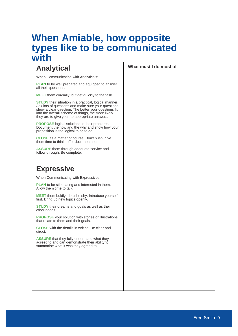## **When Amiable, how opposite types like to be communicated with**

### **Analytical What must I do most of**

When Communicating with Analyticals:

**PLAN** to be well prepared and equipped to answer all their questions.

**MEET** them cordially, but get quickly to the task.

**STUDY** their situation in a practical, logical manner. Ask lots of questions and make sure your questions show a clear direction. The better your questions fit into the overall scheme of things, the more likely they are to give you the appropriate answers.

**PROPOSE** logical solutions to their problems. Document the how and the why and show how your proposition is the logical thing to do.

**CLOSE** as a matter of course. Don't push, give them time to think, offer documentation.

**ASSURE** them through adequate service and follow-through. Be complete.

### **Expressive**

When Communicating with Expressives:

**PLAN** to be stimulating and interested in them. Allow them time to talk.

**MEET** them boldly, don't be shy. Introduce yourself first. Bring up new topics openly.

**STUDY** their dreams and goals as well as their other needs.

**PROPOSE** your solution with stories or illustrations that relate to them and their goals.

**CLOSE** with the details in writing. Be clear and direct.

**ASSURE** that they fully understand what they agreed to and can demonstrate their ability to summarise what it was they agreed to.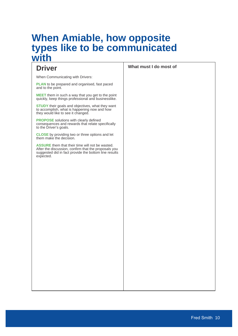## **When Amiable, how opposite types like to be communicated with**

When Communicating with Drivers:

**PLAN** to be prepared and organised, fast paced and to the point.

**MEET** them in such a way that you get to the point quickly, keep things professional and businesslike.

**STUDY** their goals and objectives, what they want to accomplish, what is happening now and how they would like to see it changed.

**PROPOSE** solutions with clearly defined consequences and rewards that relate specifically to the Driver's goals.

**CLOSE** by providing two or three options and let them make the decision.

**ASSURE** them that their time will not be wasted. After the discussion, confirm that the proposals you suggested did in fact provide the bottom line results expected.

**Driver What must I do most of**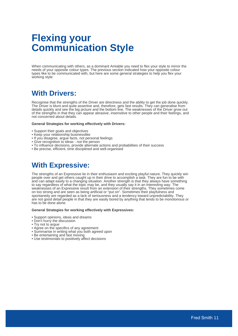# **Flexing your Communication Style**

When communicating with others, as a dominant Amiable you need to flex your style to mirror the needs of your opposite colour types. The previous section indicated how your opposite colour types like to be communicated with, but here are some general strategies to help you flex your working style:

### **With Drivers:**

Recognise that the strengths of the Driver are directness and the ability to get the job done quickly. The Driver is blunt and quite assertive and, therefore, gets fast results. They can generalise from details quickly and see the big picture and the bottom line. The weaknesses of the Driver grow out of the strengths in that they can appear abrasive, insensitive to other people and their feelings, and not concerned about details.

#### **General Strategies for working effectively with Drivers:**

- Support their goals and objectives
- Keep your relationship businesslike
- If you disagree, argue facts, not personal feelings
- Give recognition to ideas not the person
- To influence decisions, provide alternate actions and probabilities of their success
- Be precise, efficient, time disciplined and well-organised

### **With Expressive:**

The strengths of an Expressive lie in their enthusiasm and exciting playful nature. They quickly win people over and get others caught up in their drive to accomplish a task. They are fun to be with and can adapt easily to a changing situation. Another strength is that they always have something to say regardless of what the topic may be, and they usually say it in an interesting way. The weaknesses of an Expressive result from an extension of their strengths. They sometimes come on too strong and are seen as being artificial or "put on". Sometimes their playfulness and spontaneity are regarded as a lack of seriousness and a tendency toward unpredictability. They are not good detail people in that they are easily bored by anything that tends to be monotonous or has to be done alone.

#### **General Strategies for working effectively with Expressives:**

- Support opinions, ideas and dreams
- Don't hurry the discussion
- Try not to argue
- Agree on the specifics of any agreement
- Summarise in writing what you both agreed upon
- Be entertaining and fast moving
- Use testimonials to positively affect decisions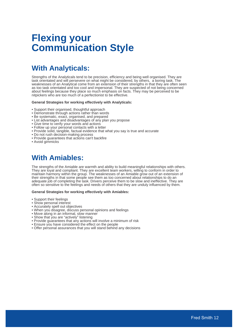# **Flexing your Communication Style**

## **With Analyticals:**

Strengths of the Analyticals tend to be precision, efficiency and being well organised. They are task orientated and will persevere on what might be considered, by others, a boring task. The weaknesses of an Analytical come from an extension of their strengths in that they are often seen as too task orientated and too cool and impersonal. They are suspected of not being concerned about feelings because they place so much emphasis on facts. They may be perceived to be nitpickers who are too much of a perfectionist to be effective.

#### **General Strategies for working effectively with Analyticals:**

- Support their organised, thoughtful approach
- Demonstrate through actions rather than words
- Be systematic, exact, organised, and prepared
- List advantages and disadvantages of any plan you propose
- Give time to verify your words and actions
- Follow up your personal contacts with a letter
- Provide solid, tangible, factual evidence that what you say is true and accurate
- Do not rush decision-making process
- Provide guarantees that actions can't backfire
- Avoid gimmicks

### **With Amiables:**

The strengths of the Amiable are warmth and ability to build meaningful relationships with others. They are loyal and compliant. They are excellent team workers, willing to conform in order to maintain harmony within the group. The weaknesses of an Amiable grow out of an extension of their strengths in that some people see them as too concerned about relationships to do an adequate job of completing the task. Drivers perceive them to be slow and ineffective. They are often so sensitive to the feelings and needs of others that they are unduly influenced by them.

#### **General Strategies for working effectively with Amiables:**

- Support their feelings
- Show personal interest
- Accurately spell out objectives
- When you disagree, discuss personal opinions and feelings
- Move along in an informal, slow manner
- Show that you are "actively" listening
- Provide guarantees that any actions will involve a minimum of risk
- Ensure you have considered the effect on the people
- Offer personal assurances that you will stand behind any decisions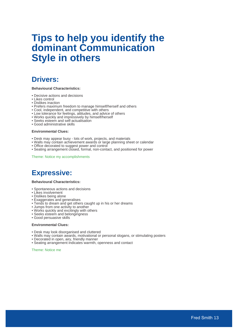# **Tips to help you identify the dominant Communication Style in others**

### **Drivers:**

#### **Behavioural Characteristics:**

- Decisive actions and decisions
- Likes control
- Dislikes inaction
- Prefers maximum freedom to manage himself/herself and others
- Cool, independent, and competitive with others
- Low tolerance for feelings, attitudes, and advice of others
- Works quickly and impressively by himself/herself
- Seeks esteem and self-actualisation
- Good administrative skills

#### **Environmental Clues:**

- Desk may appear busy lots of work, projects, and materials
- Walls may contain achievement awards or large planning sheet or calendar
- Office decorated to suggest power and control
- Seating arrangement closed, formal, non-contact, and positioned for power

Theme: Notice my accomplishments

### **Expressive:**

#### **Behavioural Characteristics:**

- Spontaneous actions and decisions
- Likes involvement
- Dislikes being alone
- Exaggerates and generalises
- Tends to dream and get others caught up in his or her dreams
- Jumps from one activity to another
- Works quickly and excitingly with others
- Seeks esteem and belongingness
- Good persuasive skills

#### **Environmental Clues:**

- Desk may look disorganised and cluttered
- Walls may contain awards, motivational or personal slogans, or stimulating posters
- Decorated in open, airy, friendly manner
- Seating arrangement indicates warmth, openness and contact

Theme: Notice me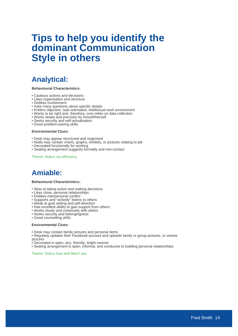# **Tips to help you identify the dominant Communication Style in others**

### **Analytical:**

#### **Behavioural Characteristics:**

- Cautious actions and decisions
- Likes organisation and structure
- Dislikes involvement
- Asks many questions about specific details
- Prefers objective, task-orientated, intellectual work environment
- Wants to be right and, therefore, over-relies on data collection
- Works slowly and precisely by himself/herself
- Seeks security and self-actualisation
- Good problem-solving skills

#### **Environmental Clues:**

- Desk may appear structured and organised
- Walls may contain charts, graphs, exhibits, or pictures relating to job
- Decorated functionally for working
- Seating arrangement suggests formality and non-contact

Theme: Notice my efficiency

## **Amiable:**

#### **Behavioural Characteristics:**

- Slow at taking action and making decisions
- Likes close, personal relationships
- Dislikes interpersonal conflict
- Supports and "actively" listens to others
- Weak at goal setting and self-direction
- Has excellent ability to gain support from others
- Works slowly and cohesively with others
- Seeks security and belongingness
- Good counselling skills

#### **Environmental Clues:**

- Desk may contain family pictures and personal items
- Regularly updates their Facebook account and uploads family or group pictures, or serene pictures
- Decorated in open, airy, friendly, bright manner
- Seating arrangement is open, informal, and conducive to building personal relationships

Theme: Notice how well liked I am.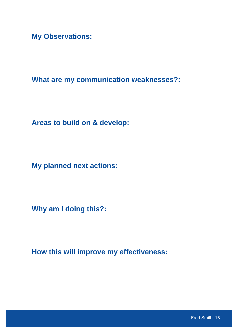**My Observations:**

**What are my communication weaknesses?:**

**Areas to build on & develop:**

**My planned next actions:**

**Why am I doing this?:**

**How this will improve my effectiveness:**